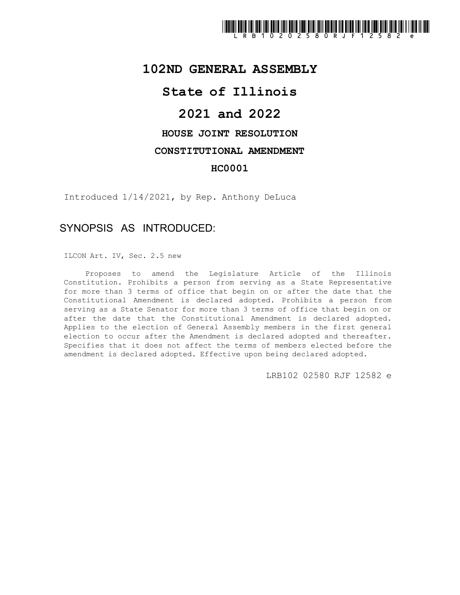

## **102ND GENERAL ASSEMBLY**

## **State of Illinois**

# **2021 and 2022**

## **HOUSE JOINT RESOLUTION**

#### **CONSTITUTIONAL AMENDMENT**

### **HC0001**

Introduced 1/14/2021, by Rep. Anthony DeLuca

## SYNOPSIS AS INTRODUCED:

ILCON Art. IV, Sec. 2.5 new

Proposes to amend the Legislature Article of the Illinois Constitution. Prohibits a person from serving as a State Representative for more than 3 terms of office that begin on or after the date that the Constitutional Amendment is declared adopted. Prohibits a person from serving as a State Senator for more than 3 terms of office that begin on or after the date that the Constitutional Amendment is declared adopted. Applies to the election of General Assembly members in the first general election to occur after the Amendment is declared adopted and thereafter. Specifies that it does not affect the terms of members elected before the amendment is declared adopted. Effective upon being declared adopted.

LRB102 02580 RJF 12582 e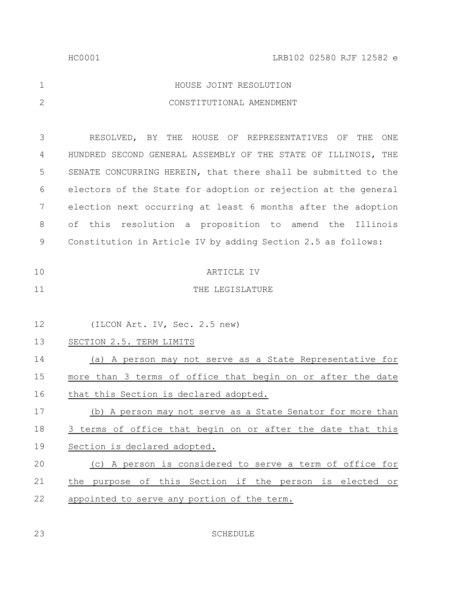|   | HOUSE JOINT RESOLUTION   |
|---|--------------------------|
| 2 | CONSTITUTIONAL AMENDMENT |

RESOLVED, BY THE HOUSE OF REPRESENTATIVES OF THE ONE HUNDRED SECOND GENERAL ASSEMBLY OF THE STATE OF ILLINOIS, THE SENATE CONCURRING HEREIN, that there shall be submitted to the electors of the State for adoption or rejection at the general election next occurring at least 6 months after the adoption of this resolution a proposition to amend the Illinois Constitution in Article IV by adding Section 2.5 as follows: 3 4 5 6 7 8 9

THE LEGISLATURE

(ILCON Art. IV, Sec. 2.5 new) 12

(a) A person may not serve as a State Representative for more than 3 terms of office that begin on or after the date that this Section is declared adopted. 14 15 16

(b) A person may not serve as a State Senator for more than 3 terms of office that begin on or after the date that this Section is declared adopted. 17 18 19

#### (c) A person is considered to serve a term of office for the purpose of this Section if the person is elected or appointed to serve any portion of the term. 20 21 22

SCHEDULE

23

11